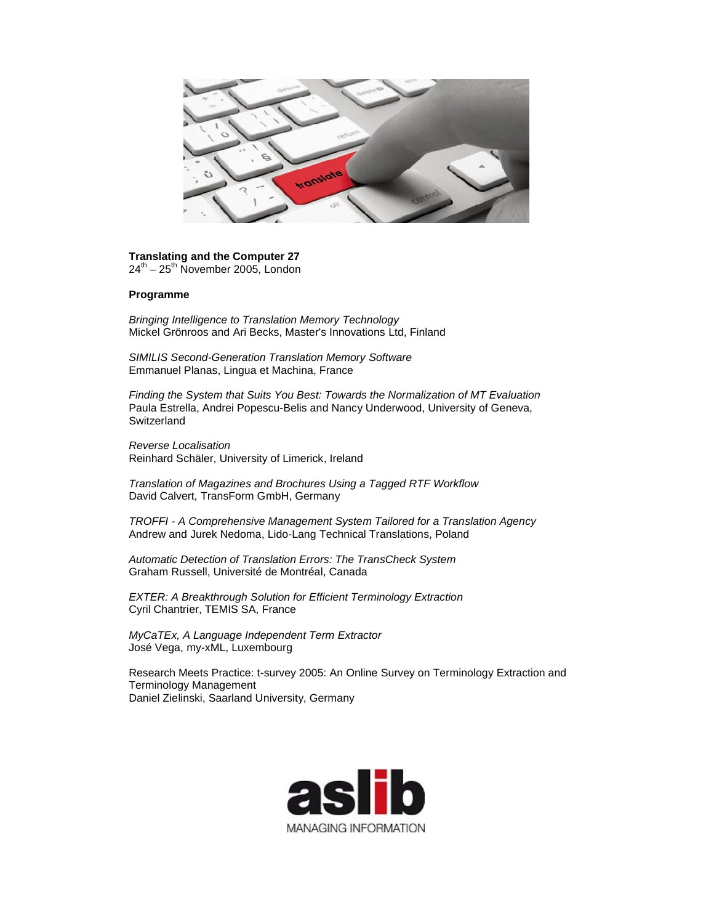

**Translating and the Computer 27**  $24^{th}$  –  $25^{th}$  November 2005, London

## **Programme**

*Bringing Intelligence to Translation Memory Technology* Mickel Grönroos and Ari Becks, Master's Innovations Ltd, Finland

*SIMILIS Second-Generation Translation Memory Software* Emmanuel Planas, Lingua et Machina, France

*Finding the System that Suits You Best: Towards the Normalization of MT Evaluation* Paula Estrella, Andrei Popescu-Belis and Nancy Underwood, University of Geneva, **Switzerland** 

*Reverse Localisation* Reinhard Schäler, University of Limerick, Ireland

*Translation of Magazines and Brochures Using a Tagged RTF Workflow* David Calvert, TransForm GmbH, Germany

*TROFFI - A Comprehensive Management System Tailored for a Translation Agency* Andrew and Jurek Nedoma, Lido-Lang Technical Translations, Poland

*Automatic Detection of Translation Errors: The TransCheck System* Graham Russell, Université de Montréal, Canada

*EXTER: A Breakthrough Solution for Efficient Terminology Extraction* Cyril Chantrier, TEMIS SA, France

*MyCaTEx, A Language Independent Term Extractor* José Vega, my-xML, Luxembourg

Research Meets Practice: t-survey 2005: An Online Survey on Terminology Extraction and Terminology Management Daniel Zielinski, Saarland University, Germany